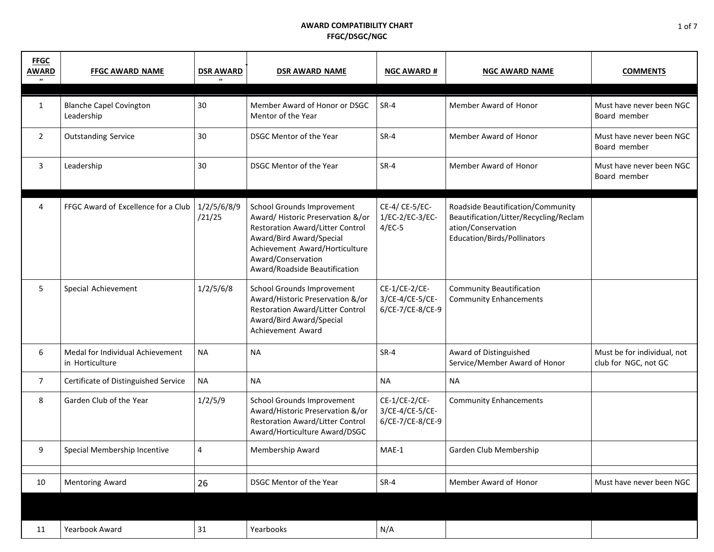| <b>FFGC</b><br><b>AWARD</b> | <b>FFGC AWARD NAME</b>                              | <b>DSR AWARD</b>      | <b>DSR AWARD NAME</b>                                                                                                                                                                                                   | <b>NGC AWARD #</b>                                   | <b>NGC AWARD NAME</b>                                                                                                            | <b>COMMENTS</b>                                     |
|-----------------------------|-----------------------------------------------------|-----------------------|-------------------------------------------------------------------------------------------------------------------------------------------------------------------------------------------------------------------------|------------------------------------------------------|----------------------------------------------------------------------------------------------------------------------------------|-----------------------------------------------------|
| $\mathbf{1}$                | <b>Blanche Capel Covington</b><br>Leadership        | 30                    | Member Award of Honor or DSGC<br>Mentor of the Year                                                                                                                                                                     | $SR-4$                                               | Member Award of Honor                                                                                                            | Must have never been NGC<br>Board member            |
| $\overline{2}$              | <b>Outstanding Service</b>                          | 30                    | DSGC Mentor of the Year                                                                                                                                                                                                 | $SR-4$                                               | Member Award of Honor                                                                                                            | Must have never been NGC<br>Board member            |
| 3                           | Leadership                                          | 30                    | DSGC Mentor of the Year                                                                                                                                                                                                 | $SR-4$                                               | Member Award of Honor                                                                                                            | Must have never been NGC<br>Board member            |
| 4                           | FFGC Award of Excellence for a Club                 | 1/2/5/6/8/9<br>/21/25 | School Grounds Improvement<br>Award/Historic Preservation &/or<br>Restoration Award/Litter Control<br>Award/Bird Award/Special<br>Achievement Award/Horticulture<br>Award/Conservation<br>Award/Roadside Beautification | CE-4/ CE-5/EC-<br>1/EC-2/EC-3/EC-<br>$4/EC-5$        | Roadside Beautification/Community<br>Beautification/Litter/Recycling/Reclam<br>ation/Conservation<br>Education/Birds/Pollinators |                                                     |
| 5                           | Special Achievement                                 | 1/2/5/6/8             | School Grounds Improvement<br>Award/Historic Preservation &/or<br><b>Restoration Award/Litter Control</b><br>Award/Bird Award/Special<br>Achievement Award                                                              | CE-1/CE-2/CE-<br>3/CE-4/CE-5/CE-<br>6/CE-7/CE-8/CE-9 | <b>Community Beautification</b><br><b>Community Enhancements</b>                                                                 |                                                     |
| 6                           | Medal for Individual Achievement<br>in Horticulture | <b>NA</b>             | <b>NA</b>                                                                                                                                                                                                               | SR-4                                                 | Award of Distinguished<br>Service/Member Award of Honor                                                                          | Must be for individual, not<br>club for NGC, not GC |
| $\overline{7}$              | Certificate of Distinguished Service                | <b>NA</b>             | <b>NA</b>                                                                                                                                                                                                               | <b>NA</b>                                            | <b>NA</b>                                                                                                                        |                                                     |
| 8                           | Garden Club of the Year                             | 1/2/5/9               | School Grounds Improvement<br>Award/Historic Preservation &/or<br><b>Restoration Award/Litter Control</b><br>Award/Horticulture Award/DSGC                                                                              | CE-1/CE-2/CE-<br>3/CE-4/CE-5/CE-<br>6/CE-7/CE-8/CE-9 | <b>Community Enhancements</b>                                                                                                    |                                                     |
| 9                           | Special Membership Incentive                        | 4                     | <b>Membership Award</b>                                                                                                                                                                                                 | MAE-1                                                | Garden Club Membership                                                                                                           |                                                     |
| 10                          | Mentoring Award                                     | 26                    | DSGC Mentor of the Year                                                                                                                                                                                                 | $SR-4$                                               | Member Award of Honor                                                                                                            | Must have never been NGC                            |
|                             |                                                     |                       |                                                                                                                                                                                                                         |                                                      |                                                                                                                                  |                                                     |
| 11                          | Yearbook Award                                      | 31                    | Yearbooks                                                                                                                                                                                                               | N/A                                                  |                                                                                                                                  |                                                     |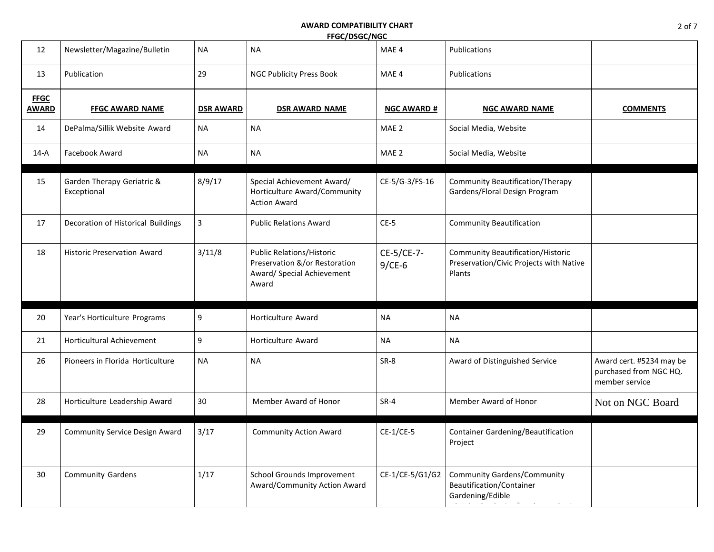| 12                   | Newsletter/Magazine/Bulletin              | <b>NA</b>        | <b>NA</b>                                                                                                | MAE 4                  | Publications                                                                                  |                                                                      |
|----------------------|-------------------------------------------|------------------|----------------------------------------------------------------------------------------------------------|------------------------|-----------------------------------------------------------------------------------------------|----------------------------------------------------------------------|
| 13                   | Publication                               | 29               | <b>NGC Publicity Press Book</b>                                                                          | MAE 4                  | Publications                                                                                  |                                                                      |
| <b>FFGC</b><br>AWARD | <b>FFGC AWARD NAME</b>                    | <b>DSR AWARD</b> | <b>DSR AWARD NAME</b>                                                                                    | <b>NGC AWARD #</b>     | <b>NGC AWARD NAME</b>                                                                         | <b>COMMENTS</b>                                                      |
| 14                   | DePalma/Sillik Website Award              | NA               | <b>NA</b>                                                                                                | MAE 2                  | Social Media, Website                                                                         |                                                                      |
| $14-A$               | Facebook Award                            | <b>NA</b>        | <b>NA</b>                                                                                                | MAE 2                  | Social Media, Website                                                                         |                                                                      |
| 15                   | Garden Therapy Geriatric &<br>Exceptional | 8/9/17           | Special Achievement Award/<br>Horticulture Award/Community<br><b>Action Award</b>                        | CE-5/G-3/FS-16         | <b>Community Beautification/Therapy</b><br>Gardens/Floral Design Program                      |                                                                      |
| 17                   | Decoration of Historical Buildings        | $\mathbf{3}$     | <b>Public Relations Award</b>                                                                            | $CE-5$                 | <b>Community Beautification</b>                                                               |                                                                      |
| 18                   | <b>Historic Preservation Award</b>        | 3/11/8           | <b>Public Relations/Historic</b><br>Preservation &/or Restoration<br>Award/ Special Achievement<br>Award | CE-5/CE-7-<br>$9/CE-6$ | <b>Community Beautification/Historic</b><br>Preservation/Civic Projects with Native<br>Plants |                                                                      |
| 20                   | Year's Horticulture Programs              | 9                | <b>Horticulture Award</b>                                                                                | NA                     | NA                                                                                            |                                                                      |
| 21                   | <b>Horticultural Achievement</b>          | 9                | <b>Horticulture Award</b>                                                                                | <b>NA</b>              | <b>NA</b>                                                                                     |                                                                      |
| 26                   | Pioneers in Florida Horticulture          | <b>NA</b>        | <b>NA</b>                                                                                                | SR-8                   | Award of Distinguished Service                                                                | Award cert. #5234 may be<br>purchased from NGC HQ.<br>member service |
| 28                   | Horticulture Leadership Award             | 30               | Member Award of Honor                                                                                    | $SR-4$                 | Member Award of Honor                                                                         | Not on NGC Board                                                     |
| 29                   | <b>Community Service Design Award</b>     | 3/17             | <b>Community Action Award</b>                                                                            | $CE-1/CE-5$            | Container Gardening/Beautification<br>Project                                                 |                                                                      |
| 30                   | <b>Community Gardens</b>                  | 1/17             | School Grounds Improvement<br>Award/Community Action Award                                               | CE-1/CE-5/G1/G2        | <b>Community Gardens/Community</b><br><b>Beautification/Container</b><br>Gardening/Edible     |                                                                      |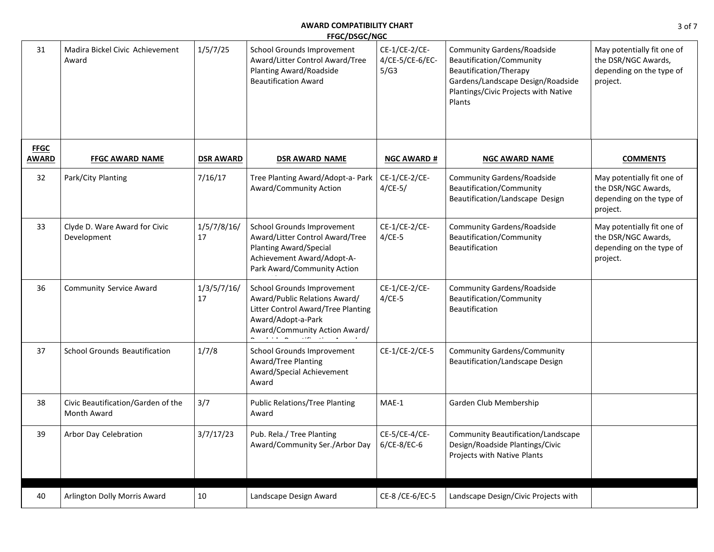| 31                          | Madira Bickel Civic Achievement<br>Award          | 1/5/7/25          | School Grounds Improvement<br>Award/Litter Control Award/Tree<br>Planting Award/Roadside<br><b>Beautification Award</b>                                     | CE-1/CE-2/CE-<br>4/CE-5/CE-6/EC-<br>5/G3 | <b>Community Gardens/Roadside</b><br>Beautification/Community<br>Beautification/Therapy<br>Gardens/Landscape Design/Roadside<br>Plantings/Civic Projects with Native<br>Plants | May potentially fit one of<br>the DSR/NGC Awards,<br>depending on the type of<br>project. |
|-----------------------------|---------------------------------------------------|-------------------|-------------------------------------------------------------------------------------------------------------------------------------------------------------|------------------------------------------|--------------------------------------------------------------------------------------------------------------------------------------------------------------------------------|-------------------------------------------------------------------------------------------|
| <b>FFGC</b><br><b>AWARD</b> | <b>FFGC AWARD NAME</b>                            | <b>DSR AWARD</b>  | <b>DSR AWARD NAME</b>                                                                                                                                       | <b>NGC AWARD #</b>                       | <b>NGC AWARD NAME</b>                                                                                                                                                          | <b>COMMENTS</b>                                                                           |
| 32                          | Park/City Planting                                | 7/16/17           | Tree Planting Award/Adopt-a- Park<br>Award/Community Action                                                                                                 | CE-1/CE-2/CE-<br>$4/CE-5/$               | <b>Community Gardens/Roadside</b><br>Beautification/Community<br>Beautification/Landscape Design                                                                               | May potentially fit one of<br>the DSR/NGC Awards,<br>depending on the type of<br>project. |
| 33                          | Clyde D. Ware Award for Civic<br>Development      | 1/5/7/8/16/<br>17 | School Grounds Improvement<br>Award/Litter Control Award/Tree<br><b>Planting Award/Special</b><br>Achievement Award/Adopt-A-<br>Park Award/Community Action | CE-1/CE-2/CE-<br>$4/CE-5$                | <b>Community Gardens/Roadside</b><br>Beautification/Community<br>Beautification                                                                                                | May potentially fit one of<br>the DSR/NGC Awards,<br>depending on the type of<br>project. |
| 36                          | Community Service Award                           | 1/3/5/7/16/<br>17 | School Grounds Improvement<br>Award/Public Relations Award/<br>Litter Control Award/Tree Planting<br>Award/Adopt-a-Park<br>Award/Community Action Award/    | CE-1/CE-2/CE-<br>$4/CE-5$                | <b>Community Gardens/Roadside</b><br>Beautification/Community<br>Beautification                                                                                                |                                                                                           |
| 37                          | <b>School Grounds Beautification</b>              | 1/7/8             | School Grounds Improvement<br>Award/Tree Planting<br>Award/Special Achievement<br>Award                                                                     | CE-1/CE-2/CE-5                           | <b>Community Gardens/Community</b><br>Beautification/Landscape Design                                                                                                          |                                                                                           |
| 38                          | Civic Beautification/Garden of the<br>Month Award | 3/7               | <b>Public Relations/Tree Planting</b><br>Award                                                                                                              | MAE-1                                    | Garden Club Membership                                                                                                                                                         |                                                                                           |
| 39                          | Arbor Day Celebration                             | 3/7/17/23         | Pub. Rela./ Tree Planting<br>Award/Community Ser./Arbor Day                                                                                                 | CE-5/CE-4/CE-<br>$6/CE-8/EC-6$           | Community Beautification/Landscape<br>Design/Roadside Plantings/Civic<br>Projects with Native Plants                                                                           |                                                                                           |
| 40                          | Arlington Dolly Morris Award                      | 10                | Landscape Design Award                                                                                                                                      | CE-8 /CE-6/EC-5                          | Landscape Design/Civic Projects with                                                                                                                                           |                                                                                           |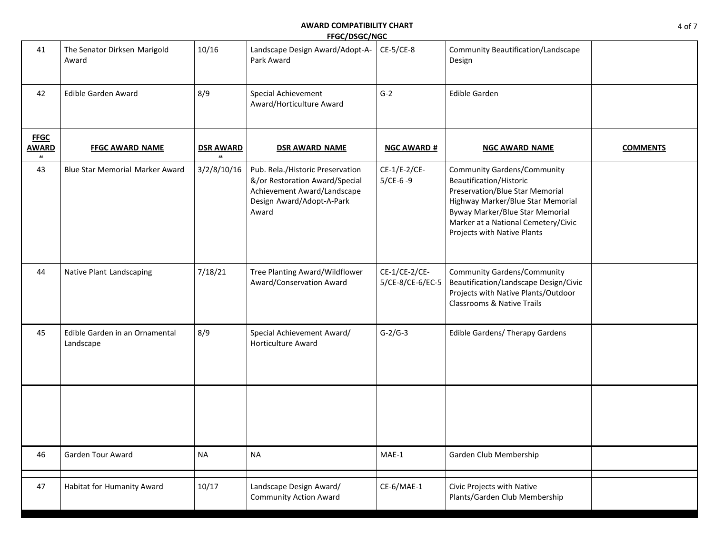| 41                                                | The Senator Dirksen Marigold<br>Award       | 10/16            | Landscape Design Award/Adopt-A-<br>Park Award                                                                                           | CE-5/CE-8                         | Community Beautification/Landscape<br>Design                                                                                                                                                                                                   |                 |
|---------------------------------------------------|---------------------------------------------|------------------|-----------------------------------------------------------------------------------------------------------------------------------------|-----------------------------------|------------------------------------------------------------------------------------------------------------------------------------------------------------------------------------------------------------------------------------------------|-----------------|
| 42                                                | Edible Garden Award                         | 8/9              | Special Achievement<br>Award/Horticulture Award                                                                                         | $G-2$                             | <b>Edible Garden</b>                                                                                                                                                                                                                           |                 |
| <b>FFGC</b><br><b>AWARD</b><br>$\boldsymbol{\mu}$ | <b>FFGC AWARD NAME</b>                      | <b>DSR AWARD</b> | <b>DSR AWARD NAME</b>                                                                                                                   | <b>NGC AWARD #</b>                | <b>NGC AWARD NAME</b>                                                                                                                                                                                                                          | <b>COMMENTS</b> |
| 43                                                | <b>Blue Star Memorial Marker Award</b>      | 3/2/8/10/16      | Pub. Rela./Historic Preservation<br>&/or Restoration Award/Special<br>Achievement Award/Landscape<br>Design Award/Adopt-A-Park<br>Award | CE-1/E-2/CE-<br>$5/CE-6 -9$       | <b>Community Gardens/Community</b><br>Beautification/Historic<br>Preservation/Blue Star Memorial<br>Highway Marker/Blue Star Memorial<br>Byway Marker/Blue Star Memorial<br>Marker at a National Cemetery/Civic<br>Projects with Native Plants |                 |
| 44                                                | Native Plant Landscaping                    | 7/18/21          | Tree Planting Award/Wildflower<br>Award/Conservation Award                                                                              | CE-1/CE-2/CE-<br>5/CE-8/CE-6/EC-5 | <b>Community Gardens/Community</b><br>Beautification/Landscape Design/Civic<br>Projects with Native Plants/Outdoor<br><b>Classrooms &amp; Native Trails</b>                                                                                    |                 |
| 45                                                | Edible Garden in an Ornamental<br>Landscape | 8/9              | Special Achievement Award/<br><b>Horticulture Award</b>                                                                                 | $G-2/G-3$                         | <b>Edible Gardens/ Therapy Gardens</b>                                                                                                                                                                                                         |                 |
|                                                   |                                             |                  |                                                                                                                                         |                                   |                                                                                                                                                                                                                                                |                 |
| 46                                                | Garden Tour Award                           | <b>NA</b>        | <b>NA</b>                                                                                                                               | $MAE-1$                           | Garden Club Membership                                                                                                                                                                                                                         |                 |
| 47                                                | Habitat for Humanity Award                  | 10/17            | Landscape Design Award/<br><b>Community Action Award</b>                                                                                | CE-6/MAE-1                        | Civic Projects with Native<br>Plants/Garden Club Membership                                                                                                                                                                                    |                 |

**Tree Planting**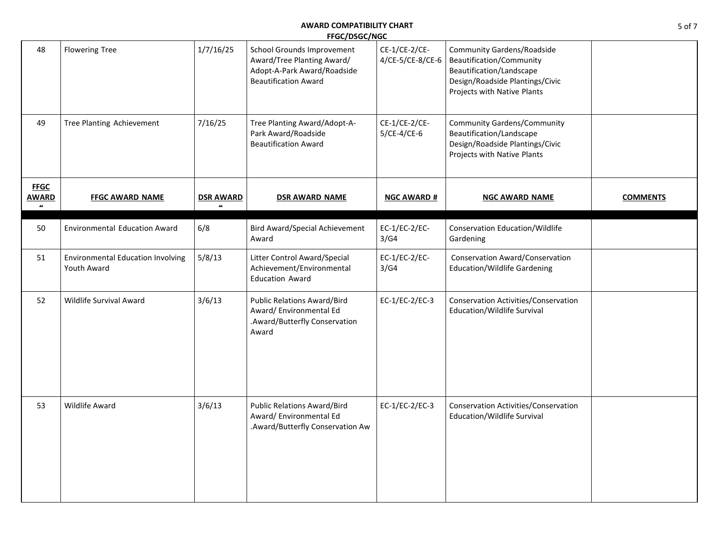| 48                                            | <b>Flowering Tree</b>                                   | 1/7/16/25                        | School Grounds Improvement<br>Award/Tree Planting Award/<br>Adopt-A-Park Award/Roadside<br><b>Beautification Award</b> | CE-1/CE-2/CE-<br>4/CE-5/CE-8/CE-6 | <b>Community Gardens/Roadside</b><br>Beautification/Community<br>Beautification/Landscape<br>Design/Roadside Plantings/Civic<br>Projects with Native Plants |                 |
|-----------------------------------------------|---------------------------------------------------------|----------------------------------|------------------------------------------------------------------------------------------------------------------------|-----------------------------------|-------------------------------------------------------------------------------------------------------------------------------------------------------------|-----------------|
| 49                                            | Tree Planting Achievement                               | 7/16/25                          | Tree Planting Award/Adopt-A-<br>Park Award/Roadside<br><b>Beautification Award</b>                                     | CE-1/CE-2/CE-<br>$5/CE-4/CE-6$    | <b>Community Gardens/Community</b><br>Beautification/Landscape<br>Design/Roadside Plantings/Civic<br>Projects with Native Plants                            |                 |
| <b>FFGC</b><br><b>AWARD</b><br>$\mathbf{u}$ . | <b>FFGC AWARD NAME</b>                                  | <b>DSR AWARD</b><br>$\mathbf{u}$ | <b>DSR AWARD NAME</b>                                                                                                  | <b>NGC AWARD #</b>                | <b>NGC AWARD NAME</b>                                                                                                                                       | <b>COMMENTS</b> |
| 50                                            | <b>Environmental Education Award</b>                    | 6/8                              | <b>Bird Award/Special Achievement</b><br>Award                                                                         | $EC-1/EC-2/EC-$<br>3/G4           | Conservation Education/Wildlife<br>Gardening                                                                                                                |                 |
| 51                                            | <b>Environmental Education Involving</b><br>Youth Award | 5/8/13                           | Litter Control Award/Special<br>Achievement/Environmental<br><b>Education Award</b>                                    | EC-1/EC-2/EC-<br>3/G4             | Conservation Award/Conservation<br><b>Education/Wildlife Gardening</b>                                                                                      |                 |
| 52                                            | Wildlife Survival Award                                 | 3/6/13                           | <b>Public Relations Award/Bird</b><br>Award/ Environmental Ed<br>.Award/Butterfly Conservation<br>Award                | EC-1/EC-2/EC-3                    | Conservation Activities/Conservation<br>Education/Wildlife Survival                                                                                         |                 |
| 53                                            | Wildlife Award                                          | 3/6/13                           | <b>Public Relations Award/Bird</b><br>Award/ Environmental Ed<br>.Award/Butterfly Conservation Aw                      | EC-1/EC-2/EC-3                    | Conservation Activities/Conservation<br>Education/Wildlife Survival                                                                                         |                 |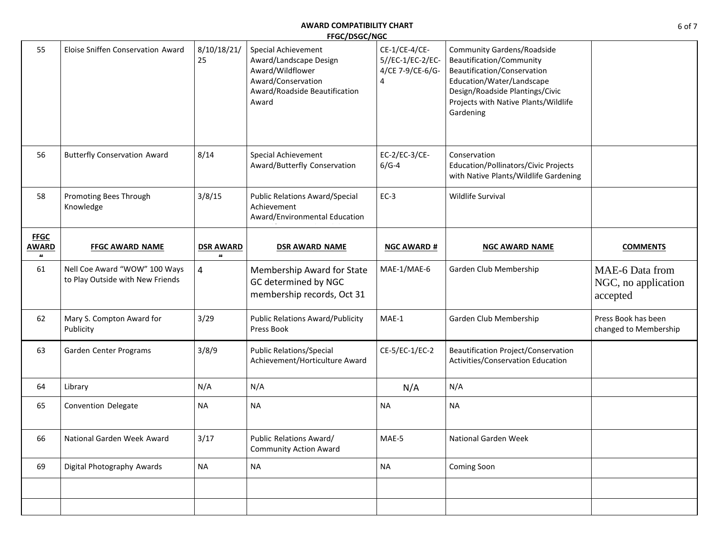| 55                                                | Eloise Sniffen Conservation Award                                 | 8/10/18/21/<br>25                      | Special Achievement<br>Award/Landscape Design<br>Award/Wildflower<br>Award/Conservation<br>Award/Roadside Beautification<br>Award | CE-1/CE-4/CE-<br>5//EC-1/EC-2/EC-<br>4/CE 7-9/CE-6/G-<br>4 | <b>Community Gardens/Roadside</b><br>Beautification/Community<br>Beautification/Conservation<br>Education/Water/Landscape<br>Design/Roadside Plantings/Civic<br>Projects with Native Plants/Wildlife<br>Gardening |                                                    |
|---------------------------------------------------|-------------------------------------------------------------------|----------------------------------------|-----------------------------------------------------------------------------------------------------------------------------------|------------------------------------------------------------|-------------------------------------------------------------------------------------------------------------------------------------------------------------------------------------------------------------------|----------------------------------------------------|
| 56                                                | <b>Butterfly Conservation Award</b>                               | 8/14                                   | Special Achievement<br>Award/Butterfly Conservation                                                                               | EC-2/EC-3/CE-<br>$6/G-4$                                   | Conservation<br>Education/Pollinators/Civic Projects<br>with Native Plants/Wildlife Gardening                                                                                                                     |                                                    |
| 58                                                | Promoting Bees Through<br>Knowledge                               | 3/8/15                                 | <b>Public Relations Award/Special</b><br>Achievement<br>Award/Environmental Education                                             | $EC-3$                                                     | Wildlife Survival                                                                                                                                                                                                 |                                                    |
| <b>FFGC</b><br><b>AWARD</b><br>$\boldsymbol{\mu}$ | <b>FFGC AWARD NAME</b>                                            | <b>DSR AWARD</b><br>$\boldsymbol{\mu}$ | <b>DSR AWARD NAME</b>                                                                                                             | <b>NGC AWARD #</b>                                         | <b>NGC AWARD NAME</b>                                                                                                                                                                                             | <b>COMMENTS</b>                                    |
| 61                                                | Nell Coe Award "WOW" 100 Ways<br>to Play Outside with New Friends | 4                                      | Membership Award for State<br>GC determined by NGC<br>membership records, Oct 31                                                  | MAE-1/MAE-6                                                | Garden Club Membership                                                                                                                                                                                            | MAE-6 Data from<br>NGC, no application<br>accepted |
| 62                                                | Mary S. Compton Award for<br>Publicity                            | 3/29                                   | <b>Public Relations Award/Publicity</b><br>Press Book                                                                             | MAE-1                                                      | Garden Club Membership                                                                                                                                                                                            | Press Book has been<br>changed to Membership       |
| 63                                                | Garden Center Programs                                            | 3/8/9                                  | <b>Public Relations/Special</b><br>Achievement/Horticulture Award                                                                 | CE-5/EC-1/EC-2                                             | Beautification Project/Conservation<br>Activities/Conservation Education                                                                                                                                          |                                                    |
| 64                                                | Library                                                           | N/A                                    | N/A                                                                                                                               | N/A                                                        | N/A                                                                                                                                                                                                               |                                                    |
| 65                                                | <b>Convention Delegate</b>                                        | <b>NA</b>                              | <b>NA</b>                                                                                                                         | <b>NA</b>                                                  | <b>NA</b>                                                                                                                                                                                                         |                                                    |
| 66                                                | National Garden Week Award                                        | 3/17                                   | Public Relations Award/<br><b>Community Action Award</b>                                                                          | MAE-5                                                      | National Garden Week                                                                                                                                                                                              |                                                    |
| 69                                                | Digital Photography Awards                                        | <b>NA</b>                              | <b>NA</b>                                                                                                                         | <b>NA</b>                                                  | Coming Soon                                                                                                                                                                                                       |                                                    |
|                                                   |                                                                   |                                        |                                                                                                                                   |                                                            |                                                                                                                                                                                                                   |                                                    |
|                                                   |                                                                   |                                        |                                                                                                                                   |                                                            |                                                                                                                                                                                                                   |                                                    |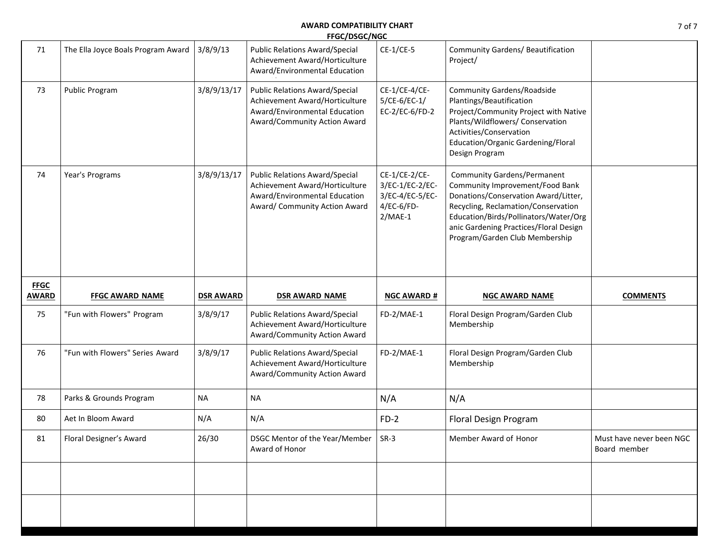| 71           | The Ella Joyce Boals Program Award | 3/8/9/13         | <b>Public Relations Award/Special</b><br>Achievement Award/Horticulture<br>Award/Environmental Education                                  | $CE-1/CE-5$                                                                    | Community Gardens/ Beautification<br>Project/                                                                                                                                                                                                                             |                                          |
|--------------|------------------------------------|------------------|-------------------------------------------------------------------------------------------------------------------------------------------|--------------------------------------------------------------------------------|---------------------------------------------------------------------------------------------------------------------------------------------------------------------------------------------------------------------------------------------------------------------------|------------------------------------------|
| 73           | Public Program                     | 3/8/9/13/17      | <b>Public Relations Award/Special</b><br>Achievement Award/Horticulture<br>Award/Environmental Education<br>Award/Community Action Award  | CE-1/CE-4/CE-<br>$5/CE-6/EC-1/$<br>EC-2/EC-6/FD-2                              | <b>Community Gardens/Roadside</b><br>Plantings/Beautification<br>Project/Community Project with Native<br>Plants/Wildflowers/ Conservation<br>Activities/Conservation<br>Education/Organic Gardening/Floral<br>Design Program                                             |                                          |
| 74           | Year's Programs                    | 3/8/9/13/17      | <b>Public Relations Award/Special</b><br>Achievement Award/Horticulture<br>Award/Environmental Education<br>Award/ Community Action Award | CE-1/CE-2/CE-<br>3/EC-1/EC-2/EC-<br>3/EC-4/EC-5/EC-<br>4/EC-6/FD-<br>$2/MAE-1$ | <b>Community Gardens/Permanent</b><br>Community Improvement/Food Bank<br>Donations/Conservation Award/Litter,<br>Recycling, Reclamation/Conservation<br>Education/Birds/Pollinators/Water/Org<br>anic Gardening Practices/Floral Design<br>Program/Garden Club Membership |                                          |
| <b>FFGC</b>  |                                    |                  |                                                                                                                                           |                                                                                |                                                                                                                                                                                                                                                                           |                                          |
| <b>AWARD</b> | <b>FFGC AWARD NAME</b>             | <b>DSR AWARD</b> | <b>DSR AWARD NAME</b>                                                                                                                     | <b>NGC AWARD #</b>                                                             | <b>NGC AWARD NAME</b>                                                                                                                                                                                                                                                     | <b>COMMENTS</b>                          |
| 75           | "Fun with Flowers" Program         | 3/8/9/17         | <b>Public Relations Award/Special</b><br>Achievement Award/Horticulture<br>Award/Community Action Award                                   | FD-2/MAE-1                                                                     | Floral Design Program/Garden Club<br>Membership                                                                                                                                                                                                                           |                                          |
| 76           | "Fun with Flowers" Series Award    | 3/8/9/17         | <b>Public Relations Award/Special</b><br>Achievement Award/Horticulture<br>Award/Community Action Award                                   | FD-2/MAE-1                                                                     | Floral Design Program/Garden Club<br>Membership                                                                                                                                                                                                                           |                                          |
| 78           | Parks & Grounds Program            | <b>NA</b>        | <b>NA</b>                                                                                                                                 | N/A                                                                            | N/A                                                                                                                                                                                                                                                                       |                                          |
| 80           | Aet In Bloom Award                 | N/A              | N/A                                                                                                                                       | $FD-2$                                                                         | Floral Design Program                                                                                                                                                                                                                                                     |                                          |
| 81           | Floral Designer's Award            | 26/30            | DSGC Mentor of the Year/Member<br>Award of Honor                                                                                          | $SR-3$                                                                         | Member Award of Honor                                                                                                                                                                                                                                                     | Must have never been NGC<br>Board member |
|              |                                    |                  |                                                                                                                                           |                                                                                |                                                                                                                                                                                                                                                                           |                                          |

**District Awards**